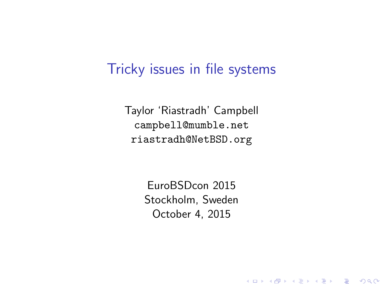#### Tricky issues in file systems

Taylor 'Riastradh' Campbell campbell@mumble.net riastradh@NetBSD.org

> EuroBSDcon 2015 Stockholm, Sweden October 4, 2015

> > **K ロ ▶ K @ ▶ K 할 X X 할 X → 할 X → 9 Q Q ^**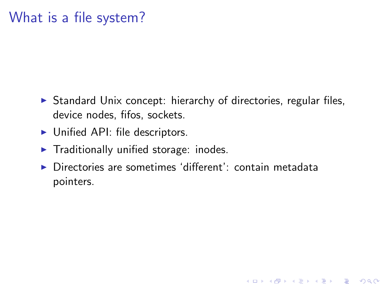#### What is a file system?

 $\triangleright$  Standard Unix concept: hierarchy of directories, regular files, device nodes, fifos, sockets.

- $\blacktriangleright$  Unified API: file descriptors.
- $\blacktriangleright$  Traditionally unified storage: inodes.
- $\triangleright$  Directories are sometimes 'different': contain metadata pointers.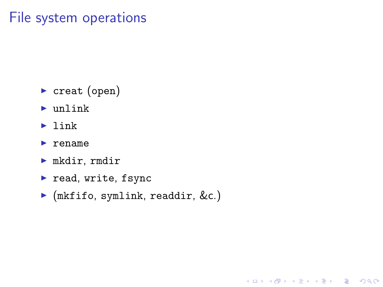#### File system operations

- $\triangleright$  creat (open)
- $\blacktriangleright$  unlink
- $\blacktriangleright$  link
- $\blacktriangleright$  rename
- $\blacktriangleright$  mkdir, rmdir
- $\blacktriangleright$  read, write, fsync
- $\blacktriangleright$  (mkfifo, symlink, readdir, &c.)

**K ロ ▶ K @ ▶ K 할 X X 할 X → 할 X → 9 Q Q ^**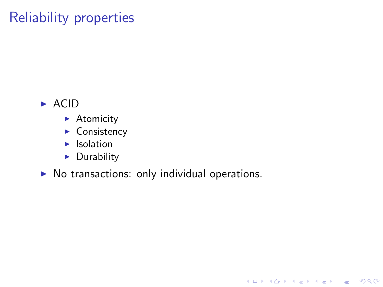## Reliability properties

#### $\triangleright$  ACID

- $\blacktriangleright$  Atomicity
- $\triangleright$  Consistency
- $\blacktriangleright$  Isolation
- $\blacktriangleright$  Durability

 $\triangleright$  No transactions: only individual operations.

K ロ ▶ K @ ▶ K 할 > K 할 > 1 할 > 1 이익어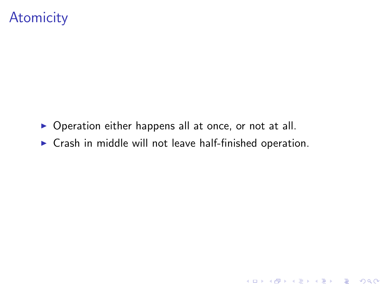#### **Atomicity**

- $\triangleright$  Operation either happens all at once, or not at all.
- $\triangleright$  Crash in middle will not leave half-finished operation.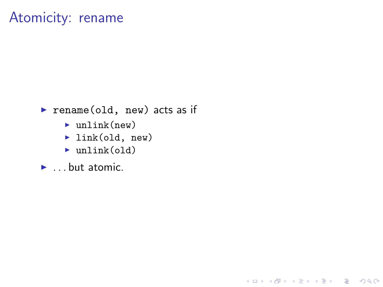#### Atomicity: rename

#### rename (old, new) acts as if

K ロ ▶ K @ ▶ K 할 ▶ K 할 ▶ | 할 | © 9 Q @

- $\blacktriangleright$  unlink(new)
- $\blacktriangleright$  link(old, new)
- $\blacktriangleright$  unlink(old)
- $\blacktriangleright$  ... but atomic.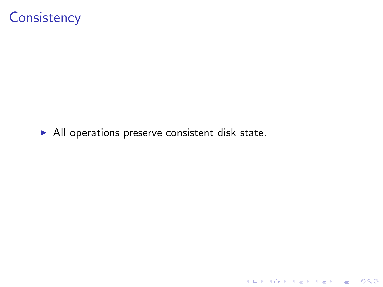## **Consistency**

 $\blacktriangleright$  All operations preserve consistent disk state.

K ロ ▶ K @ ▶ K 할 ▶ K 할 ▶ | 할 | ⊙Q @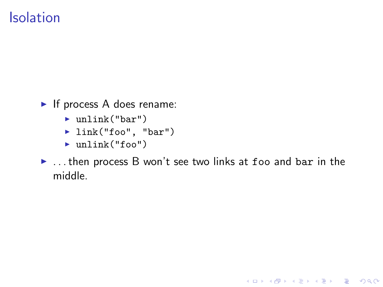#### Isolation

- $\blacktriangleright$  If process A does rename:
	- $\blacktriangleright$  unlink("bar")
	- $\blacktriangleright$  link("foo", "bar")
	- $\blacktriangleright$  unlink("foo")
- $\triangleright$  ... then process B won't see two links at foo and bar in the middle.

K ロ ▶ K @ ▶ K 할 > K 할 > 1 할 > 1 이익어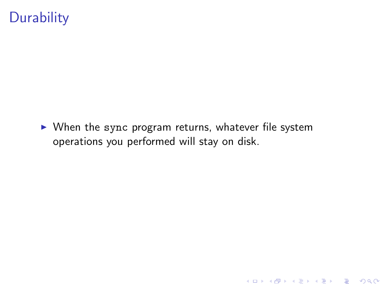## **Durability**

 $\triangleright$  When the sync program returns, whatever file system operations you performed will stay on disk.

K ロ ▶ K @ ▶ K 할 ▶ K 할 ▶ | 할 | © 9 Q @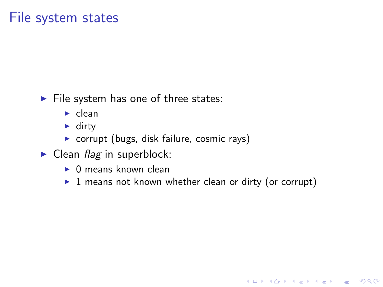#### File system states

- $\blacktriangleright$  File system has one of three states:
	- $\blacktriangleright$  clean
	- $\blacktriangleright$  dirty
	- $\triangleright$  corrupt (bugs, disk failure, cosmic rays)
- $\blacktriangleright$  Clean *flag* in superblock:
	- $\triangleright$  0 means known clean
	- $\triangleright$  1 means not known whether clean or dirty (or corrupt)

K ロ ▶ K @ ▶ K 할 > K 할 > 1 할 > 1 이익어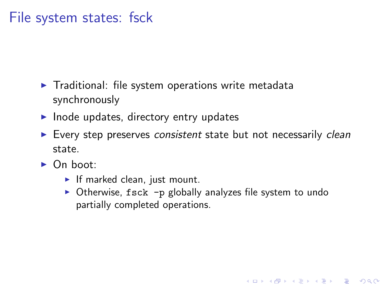#### File system states: fsck

- $\blacktriangleright$  Traditional: file system operations write metadata synchronously
- $\blacktriangleright$  Inode updates, directory entry updates
- $\blacktriangleright$  Every step preserves consistent state but not necessarily clean state.
- $\triangleright$  On boot:
	- If marked clean, just mount.
	- $\triangleright$  Otherwise, fsck -p globally analyzes file system to undo partially completed operations.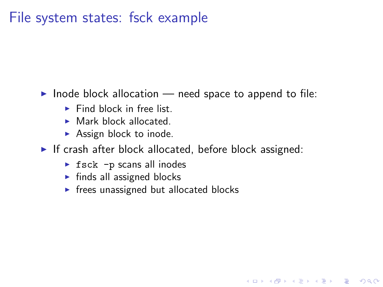#### File system states: fsck example

Inode block allocation  $-$  need space to append to file:

- $\blacktriangleright$  Find block in free list.
- $\blacktriangleright$  Mark block allocated.
- $\blacktriangleright$  Assign block to inode.
- If crash after block allocated, before block assigned:

- $\triangleright$  fsck -p scans all inodes
- $\blacktriangleright$  finds all assigned blocks
- $\triangleright$  frees unassigned but allocated blocks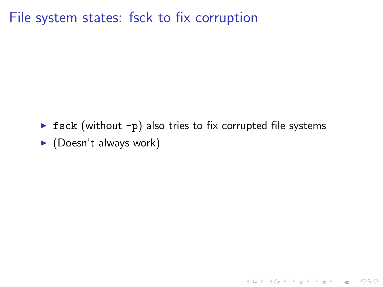File system states: fsck to fix corruption

 $\triangleright$  fsck (without -p) also tries to fix corrupted file systems  $\blacktriangleright$  (Doesn't always work)

KO KKOK KEK KEK LE I KORO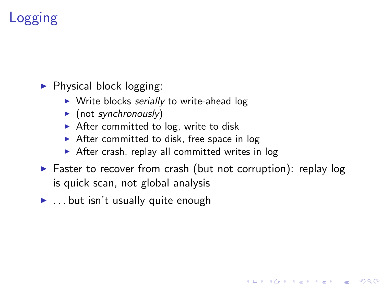# Logging

 $\blacktriangleright$  Physical block logging:

- $\triangleright$  Write blocks serially to write-ahead log
- $\blacktriangleright$  (not synchronously)
- $\triangleright$  After committed to log, write to disk
- $\triangleright$  After committed to disk, free space in log
- $\triangleright$  After crash, replay all committed writes in log
- $\triangleright$  Faster to recover from crash (but not corruption): replay log is quick scan, not global analysis

**KORK ERKER ADE YOUR** 

 $\blacktriangleright$  ... but isn't usually quite enough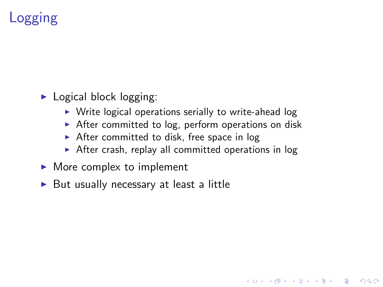# Logging

- $\blacktriangleright$  Logical block logging:
	- $\triangleright$  Write logical operations serially to write-ahead log
	- $\triangleright$  After committed to log, perform operations on disk
	- $\triangleright$  After committed to disk, free space in log
	- $\triangleright$  After crash, replay all committed operations in log

- $\blacktriangleright$  More complex to implement
- $\triangleright$  But usually necessary at least a little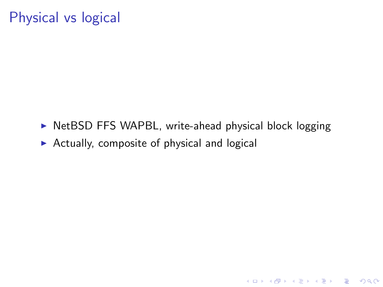## Physical vs logical

 $\triangleright$  NetBSD FFS WAPBL, write-ahead physical block logging

K ロ ▶ K @ ▶ K 할 > K 할 > 1 할 > 1 이익어

 $\triangleright$  Actually, composite of physical and logical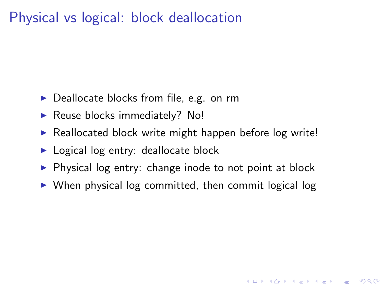#### Physical vs logical: block deallocation

- $\triangleright$  Deallocate blocks from file, e.g. on rm
- $\blacktriangleright$  Reuse blocks immediately? No!
- $\triangleright$  Reallocated block write might happen before log write!
- $\blacktriangleright$  Logical log entry: deallocate block
- $\triangleright$  Physical log entry: change inode to not point at block
- $\triangleright$  When physical log committed, then commit logical log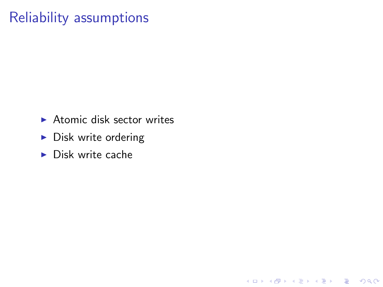## Reliability assumptions

 $\blacktriangleright$  Atomic disk sector writes

K ロ ▶ K @ ▶ K 할 ▶ K 할 ▶ | 할 | © 9 Q @

- $\blacktriangleright$  Disk write ordering
- $\blacktriangleright$  Disk write cache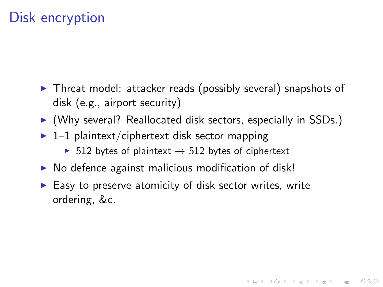## Disk encryption

- $\triangleright$  Threat model: attacker reads (possibly several) snapshots of disk (e.g., airport security)
- $\triangleright$  (Why several? Reallocated disk sectors, especially in SSDs.)

- $\blacktriangleright$  1–1 plaintext/ciphertext disk sector mapping
	- $\triangleright$  512 bytes of plaintext  $\rightarrow$  512 bytes of ciphertext
- $\triangleright$  No defence against malicious modification of disk!
- $\blacktriangleright$  Easy to preserve atomicity of disk sector writes, write ordering, &c.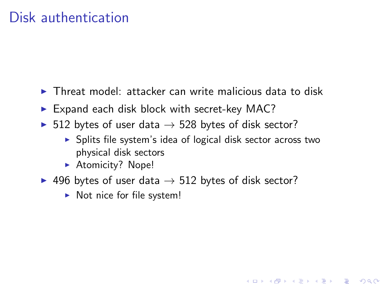#### Disk authentication

- $\triangleright$  Threat model: attacker can write malicious data to disk
- $\blacktriangleright$  Expand each disk block with secret-key MAC?
- ▶ 512 bytes of user data  $\rightarrow$  528 bytes of disk sector?
	- $\triangleright$  Splits file system's idea of logical disk sector across two physical disk sectors

- **Atomicity? Nope!**
- 496 bytes of user data  $\rightarrow$  512 bytes of disk sector?
	- $\triangleright$  Not nice for file system!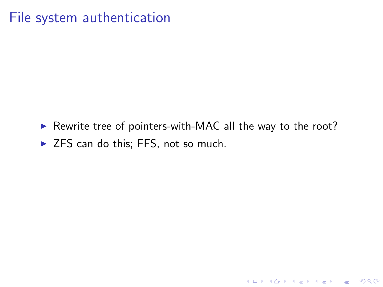#### File system authentication

 $\triangleright$  Rewrite tree of pointers-with-MAC all the way to the root?

 $\triangleright$  ZFS can do this; FFS, not so much.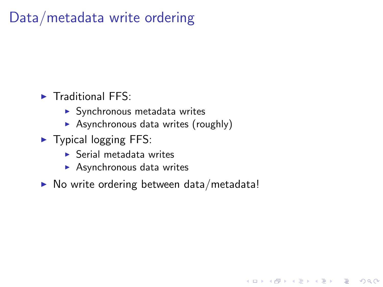## Data/metadata write ordering

- $\blacktriangleright$  Traditional FFS:
	- $\blacktriangleright$  Synchronous metadata writes
	- $\triangleright$  Asynchronous data writes (roughly)
- $\blacktriangleright$  Typical logging FFS:
	- $\blacktriangleright$  Serial metadata writes
	- $\blacktriangleright$  Asynchronous data writes
- $\triangleright$  No write ordering between data/metadata!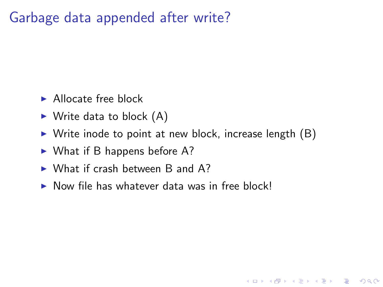#### Garbage data appended after write?

- $\blacktriangleright$  Allocate free block
- $\blacktriangleright$  Write data to block  $(A)$
- $\triangleright$  Write inode to point at new block, increase length  $(B)$

- $\triangleright$  What if B happens before A?
- $\triangleright$  What if crash between B and A?
- $\triangleright$  Now file has whatever data was in free block!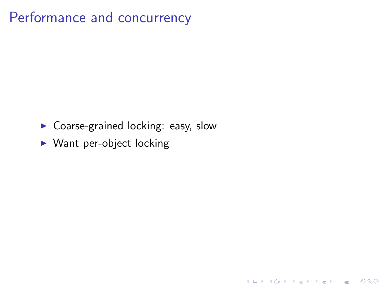## Performance and concurrency

 $\blacktriangleright$  Coarse-grained locking: easy, slow

K ロ ▶ K @ ▶ K 할 ▶ K 할 ▶ ... 할 → 9 Q @

 $\triangleright$  Want per-object locking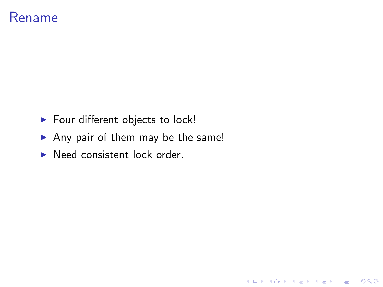#### Rename

- $\blacktriangleright$  Four different objects to lock!
- Any pair of them may be the same!

K ロ ▶ K @ ▶ K 할 ▶ K 할 ▶ | 할 | © 9 Q @

 $\blacktriangleright$  Need consistent lock order.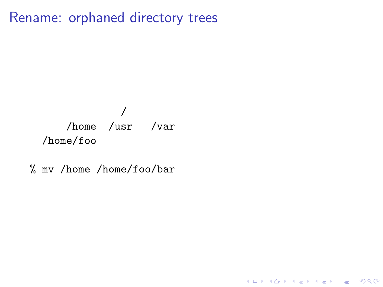Rename: orphaned directory trees

#### / /home /usr /var /home/foo

% mv /home /home/foo/bar

K ロ ▶ K @ ▶ K 할 ▶ K 할 ▶ | 할 | © 9 Q @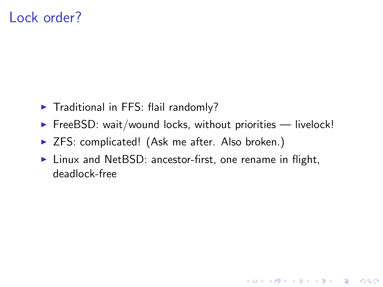#### Lock order?

- $\blacktriangleright$  Traditional in FFS: flail randomly?
- $\triangleright$  FreeBSD: wait/wound locks, without priorities  $-$  livelock!
- ▶ ZFS: complicated! (Ask me after. Also broken.)
- $\triangleright$  Linux and NetBSD: ancestor-first, one rename in flight, deadlock-free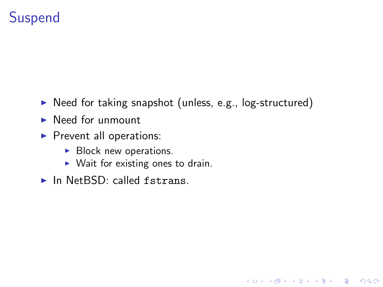## Suspend

 $\triangleright$  Need for taking snapshot (unless, e.g., log-structured)

- $\blacktriangleright$  Need for unmount
- $\blacktriangleright$  Prevent all operations:
	- $\blacktriangleright$  Block new operations.
	- $\triangleright$  Wait for existing ones to drain.
- $\blacktriangleright$  In NetBSD: called fstrans.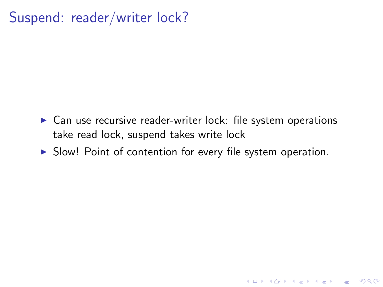#### Suspend: reader/writer lock?

- $\triangleright$  Can use recursive reader-writer lock: file system operations take read lock, suspend takes write lock
- $\triangleright$  Slow! Point of contention for every file system operation.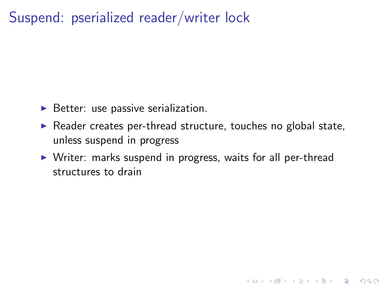#### Suspend: pserialized reader/writer lock

- $\triangleright$  Better: use passive serialization.
- $\triangleright$  Reader creates per-thread structure, touches no global state, unless suspend in progress
- $\triangleright$  Writer: marks suspend in progress, waits for all per-thread structures to drain

K ロ ▶ K @ ▶ K 할 > K 할 > 1 할 > 1 이익어